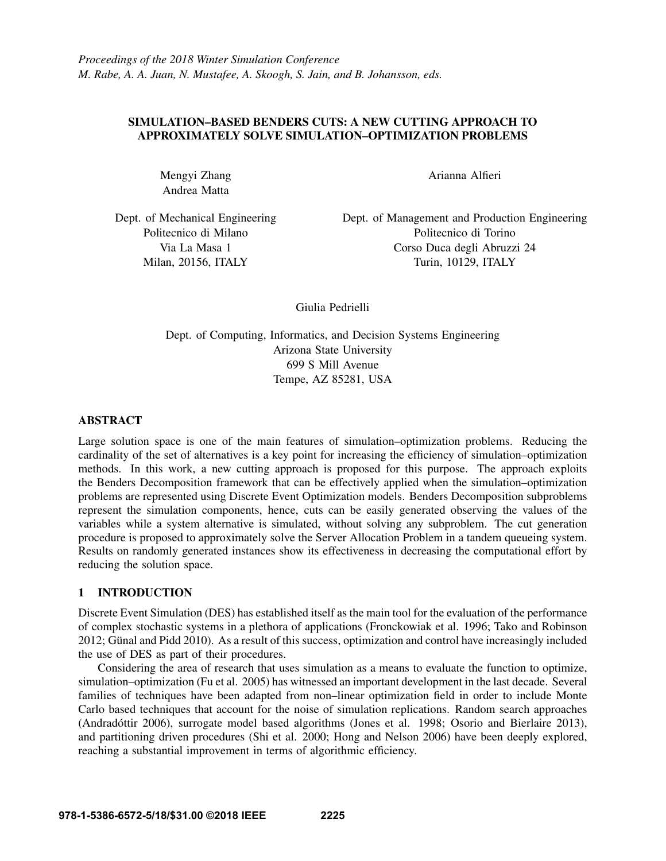# SIMULATION–BASED BENDERS CUTS: A NEW CUTTING APPROACH TO APPROXIMATELY SOLVE SIMULATION–OPTIMIZATION PROBLEMS

Mengyi Zhang Andrea Matta

Arianna Alfieri

Dept. of Mechanical Engineering Politecnico di Milano Via La Masa 1 Milan, 20156, ITALY

Dept. of Management and Production Engineering Politecnico di Torino Corso Duca degli Abruzzi 24 Turin, 10129, ITALY

Giulia Pedrielli

Dept. of Computing, Informatics, and Decision Systems Engineering Arizona State University 699 S Mill Avenue Tempe, AZ 85281, USA

# ABSTRACT

Large solution space is one of the main features of simulation–optimization problems. Reducing the cardinality of the set of alternatives is a key point for increasing the efficiency of simulation–optimization methods. In this work, a new cutting approach is proposed for this purpose. The approach exploits the Benders Decomposition framework that can be effectively applied when the simulation–optimization problems are represented using Discrete Event Optimization models. Benders Decomposition subproblems represent the simulation components, hence, cuts can be easily generated observing the values of the variables while a system alternative is simulated, without solving any subproblem. The cut generation procedure is proposed to approximately solve the Server Allocation Problem in a tandem queueing system. Results on randomly generated instances show its effectiveness in decreasing the computational effort by reducing the solution space.

# 1 INTRODUCTION

Discrete Event Simulation (DES) has established itself as the main tool for the evaluation of the performance of complex stochastic systems in a plethora of applications (Fronckowiak et al. 1996; Tako and Robinson 2012; Günal and Pidd 2010). As a result of this success, optimization and control have increasingly included the use of DES as part of their procedures.

Considering the area of research that uses simulation as a means to evaluate the function to optimize, simulation–optimization (Fu et al. 2005) has witnessed an important development in the last decade. Several families of techniques have been adapted from non–linear optimization field in order to include Monte Carlo based techniques that account for the noise of simulation replications. Random search approaches (Andradóttir 2006), surrogate model based algorithms (Jones et al. 1998; Osorio and Bierlaire 2013), and partitioning driven procedures (Shi et al. 2000; Hong and Nelson 2006) have been deeply explored, reaching a substantial improvement in terms of algorithmic efficiency.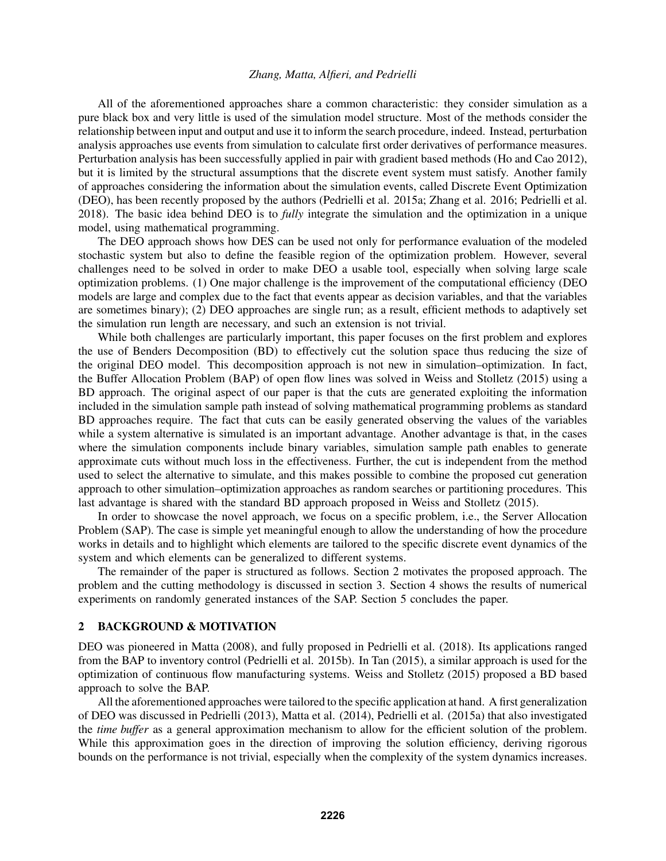All of the aforementioned approaches share a common characteristic: they consider simulation as a pure black box and very little is used of the simulation model structure. Most of the methods consider the relationship between input and output and use it to inform the search procedure, indeed. Instead, perturbation analysis approaches use events from simulation to calculate first order derivatives of performance measures. Perturbation analysis has been successfully applied in pair with gradient based methods (Ho and Cao 2012), but it is limited by the structural assumptions that the discrete event system must satisfy. Another family of approaches considering the information about the simulation events, called Discrete Event Optimization (DEO), has been recently proposed by the authors (Pedrielli et al. 2015a; Zhang et al. 2016; Pedrielli et al. 2018). The basic idea behind DEO is to *fully* integrate the simulation and the optimization in a unique model, using mathematical programming.

The DEO approach shows how DES can be used not only for performance evaluation of the modeled stochastic system but also to define the feasible region of the optimization problem. However, several challenges need to be solved in order to make DEO a usable tool, especially when solving large scale optimization problems. (1) One major challenge is the improvement of the computational efficiency (DEO models are large and complex due to the fact that events appear as decision variables, and that the variables are sometimes binary); (2) DEO approaches are single run; as a result, efficient methods to adaptively set the simulation run length are necessary, and such an extension is not trivial.

While both challenges are particularly important, this paper focuses on the first problem and explores the use of Benders Decomposition (BD) to effectively cut the solution space thus reducing the size of the original DEO model. This decomposition approach is not new in simulation–optimization. In fact, the Buffer Allocation Problem (BAP) of open flow lines was solved in Weiss and Stolletz (2015) using a BD approach. The original aspect of our paper is that the cuts are generated exploiting the information included in the simulation sample path instead of solving mathematical programming problems as standard BD approaches require. The fact that cuts can be easily generated observing the values of the variables while a system alternative is simulated is an important advantage. Another advantage is that, in the cases where the simulation components include binary variables, simulation sample path enables to generate approximate cuts without much loss in the effectiveness. Further, the cut is independent from the method used to select the alternative to simulate, and this makes possible to combine the proposed cut generation approach to other simulation–optimization approaches as random searches or partitioning procedures. This last advantage is shared with the standard BD approach proposed in Weiss and Stolletz (2015).

In order to showcase the novel approach, we focus on a specific problem, i.e., the Server Allocation Problem (SAP). The case is simple yet meaningful enough to allow the understanding of how the procedure works in details and to highlight which elements are tailored to the specific discrete event dynamics of the system and which elements can be generalized to different systems.

The remainder of the paper is structured as follows. Section 2 motivates the proposed approach. The problem and the cutting methodology is discussed in section 3. Section 4 shows the results of numerical experiments on randomly generated instances of the SAP. Section 5 concludes the paper.

## 2 BACKGROUND & MOTIVATION

DEO was pioneered in Matta (2008), and fully proposed in Pedrielli et al. (2018). Its applications ranged from the BAP to inventory control (Pedrielli et al. 2015b). In Tan (2015), a similar approach is used for the optimization of continuous flow manufacturing systems. Weiss and Stolletz (2015) proposed a BD based approach to solve the BAP.

All the aforementioned approaches were tailored to the specific application at hand. A first generalization of DEO was discussed in Pedrielli (2013), Matta et al. (2014), Pedrielli et al. (2015a) that also investigated the *time buffer* as a general approximation mechanism to allow for the efficient solution of the problem. While this approximation goes in the direction of improving the solution efficiency, deriving rigorous bounds on the performance is not trivial, especially when the complexity of the system dynamics increases.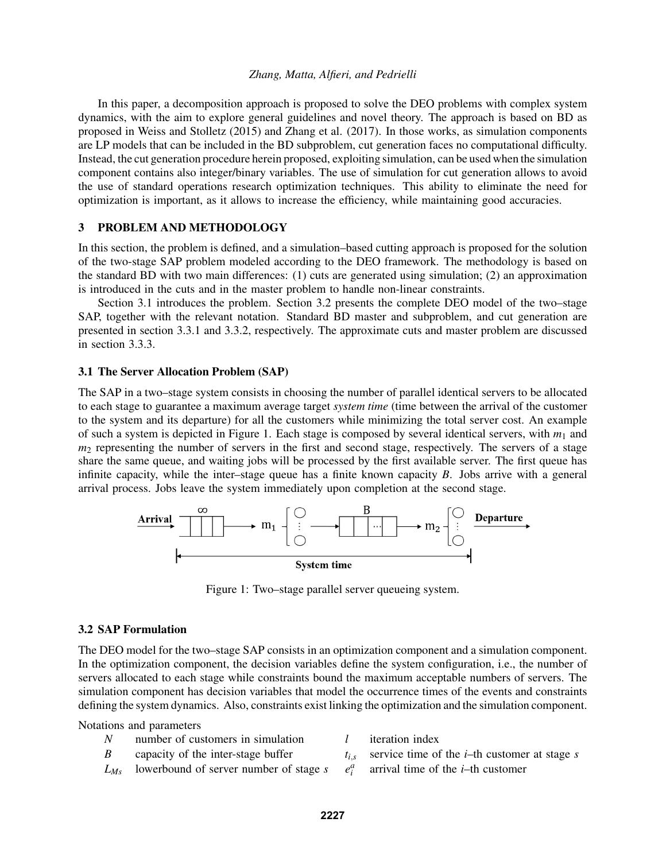In this paper, a decomposition approach is proposed to solve the DEO problems with complex system dynamics, with the aim to explore general guidelines and novel theory. The approach is based on BD as proposed in Weiss and Stolletz (2015) and Zhang et al. (2017). In those works, as simulation components are LP models that can be included in the BD subproblem, cut generation faces no computational difficulty. Instead, the cut generation procedure herein proposed, exploiting simulation, can be used when the simulation component contains also integer/binary variables. The use of simulation for cut generation allows to avoid the use of standard operations research optimization techniques. This ability to eliminate the need for optimization is important, as it allows to increase the efficiency, while maintaining good accuracies.

# 3 PROBLEM AND METHODOLOGY

In this section, the problem is defined, and a simulation–based cutting approach is proposed for the solution of the two-stage SAP problem modeled according to the DEO framework. The methodology is based on the standard BD with two main differences: (1) cuts are generated using simulation; (2) an approximation is introduced in the cuts and in the master problem to handle non-linear constraints.

Section 3.1 introduces the problem. Section 3.2 presents the complete DEO model of the two–stage SAP, together with the relevant notation. Standard BD master and subproblem, and cut generation are presented in section 3.3.1 and 3.3.2, respectively. The approximate cuts and master problem are discussed in section 3.3.3.

### 3.1 The Server Allocation Problem (SAP)

The SAP in a two–stage system consists in choosing the number of parallel identical servers to be allocated to each stage to guarantee a maximum average target *system time* (time between the arrival of the customer to the system and its departure) for all the customers while minimizing the total server cost. An example of such a system is depicted in Figure 1. Each stage is composed by several identical servers, with  $m_1$  and *m*<sup>2</sup> representing the number of servers in the first and second stage, respectively. The servers of a stage share the same queue, and waiting jobs will be processed by the first available server. The first queue has infinite capacity, while the inter–stage queue has a finite known capacity *B*. Jobs arrive with a general arrival process. Jobs leave the system immediately upon completion at the second stage.



Figure 1: Two–stage parallel server queueing system.

## 3.2 SAP Formulation

The DEO model for the two–stage SAP consists in an optimization component and a simulation component. In the optimization component, the decision variables define the system configuration, i.e., the number of servers allocated to each stage while constraints bound the maximum acceptable numbers of servers. The simulation component has decision variables that model the occurrence times of the events and constraints defining the system dynamics. Also, constraints exist linking the optimization and the simulation component.

Notations and parameters

- *N* number of customers in simulation
- *l* iteration index
- *B* capacity of the inter-stage buffer
- $t_{i,s}$  service time of the *i*–th customer at stage *s*
- *LMs* lowerbound of server number of stage *s*
- arrival time of the *i*–th customer

*e a i*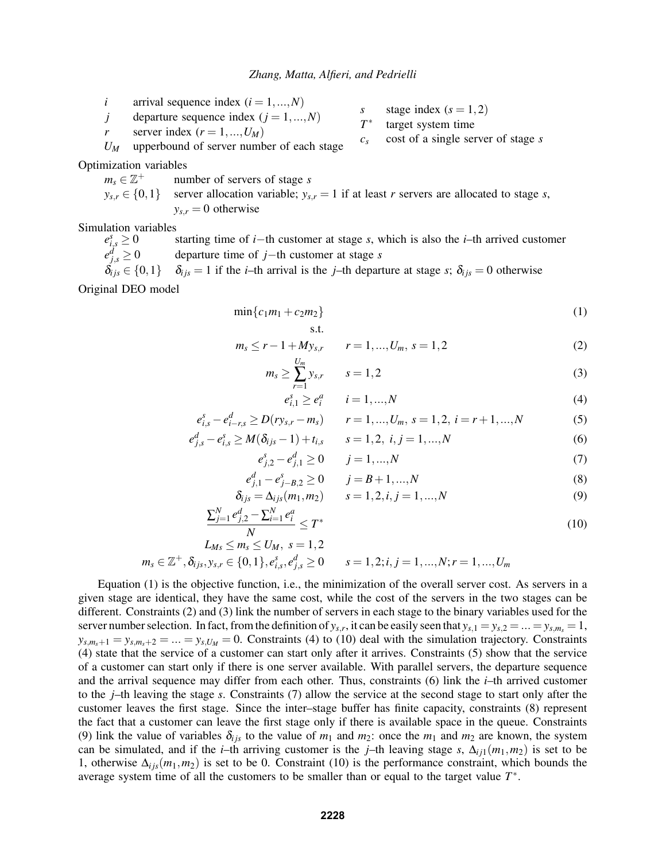*i* arrival sequence index  $(i = 1, ..., N)$ 

*j* departure sequence index  $(j = 1, ..., N)$ 

*r* server index  $(r = 1, ..., U_M)$ 

*s* stage index  $(s = 1, 2)$ 

*c<sup>s</sup>* cost of a single server of stage *s*

*T* ∗ target system time

- 
- $U_M$  upperbound of server number of each stage

Optimization variables

- $m_s \in \mathbb{Z}^+$ number of servers of stage *s*
- $y_{s,r} \in \{0,1\}$  server allocation variable;  $y_{s,r} = 1$  if at least *r* servers are allocated to stage *s*,  $y_{s,r} = 0$  otherwise

Simulation variables

*e s starting time of <i>i*−th customer at stage *s*, which is also the *i*−th arrived customer *e d*  $e^{d}_{j,s} \ge 0$  departure time of *j*−th customer at stage *s*<br> $\delta_{i,s} \in \{0,1\}$   $\delta_{i,s} = 1$  if the *i*−th arrival is the *j*−th depart

 $\delta_{i j s} = 1$  if the *i*–th arrival is the *j*–th departure at stage *s*;  $\delta_{i j s} = 0$  otherwise Original DEO model

s.t.

$$
\min\{c_1m_1+c_2m_2\}\tag{1}
$$

$$
m_s \le r - 1 + My_{s,r} \qquad r = 1, ..., U_m, \, s = 1, 2 \tag{2}
$$

$$
m_s \ge \sum_{r=1}^{U_m} y_{s,r} \qquad s = 1,2
$$
 (3)

$$
e_{i,1}^s \ge e_i^a \qquad i = 1,...,N
$$
 (4)

$$
e_{i,s}^s - e_{i-r,s}^d \ge D(ry_{s,r} - m_s) \qquad r = 1,...,U_m, \ s = 1,2, \ i = r+1,...,N \tag{5}
$$

$$
e_{j,s}^d - e_{i,s}^s \ge M(\delta_{ijs} - 1) + t_{i,s} \qquad s = 1,2, \ i, j = 1,...,N
$$
 (6)

$$
e_{j,2}^s - e_{j,1}^d \ge 0 \t j = 1,...,N \t(7)
$$

$$
e_{j,1}^d - e_{j-B,2}^s \ge 0 \t j = B+1,...,N \t (8)
$$

$$
\delta_{ijs} = \Delta_{ijs}(m_1, m_2) \qquad s = 1, 2, i, j = 1, ..., N \tag{9}
$$

$$
\frac{\sum_{j=1}^{N} e_{j,2}^d - \sum_{i=1}^{N} e_i^a}{N} \le T^*
$$
\n(10)

$$
L_{Ms} \le m_s \le U_M, \ s = 1, 2
$$
  

$$
m_s \in \mathbb{Z}^+, \delta_{ijs}, y_{s,r} \in \{0, 1\}, e_{i,s}^s, e_{j,s}^d \ge 0 \qquad s = 1, 2; i, j = 1, ..., N; r = 1, ..., U_m
$$

Equation (1) is the objective function, i.e., the minimization of the overall server cost. As servers in a given stage are identical, they have the same cost, while the cost of the servers in the two stages can be different. Constraints (2) and (3) link the number of servers in each stage to the binary variables used for the server number selection. In fact, from the definition of  $y_{s,r}$ , it can be easily seen that  $y_{s,1} = y_{s,2} = ... = y_{s,m_s} = 1$ ,  $y_{s,m_s+1} = y_{s,m_s+2} = ... = y_{s,U_M} = 0$ . Constraints (4) to (10) deal with the simulation trajectory. Constraints (4) state that the service of a customer can start only after it arrives. Constraints (5) show that the service of a customer can start only if there is one server available. With parallel servers, the departure sequence and the arrival sequence may differ from each other. Thus, constraints (6) link the *i*–th arrived customer to the *j*–th leaving the stage *s*. Constraints (7) allow the service at the second stage to start only after the customer leaves the first stage. Since the inter–stage buffer has finite capacity, constraints (8) represent the fact that a customer can leave the first stage only if there is available space in the queue. Constraints (9) link the value of variables  $\delta_{i j s}$  to the value of  $m_1$  and  $m_2$ : once the  $m_1$  and  $m_2$  are known, the system can be simulated, and if the *i*–th arriving customer is the *j*–th leaving stage *s*,  $\Delta_{i j 1}(m_1, m_2)$  is set to be 1, otherwise ∆*i js*(*m*1,*m*2) is set to be 0. Constraint (10) is the performance constraint, which bounds the average system time of all the customers to be smaller than or equal to the target value *T* ∗ .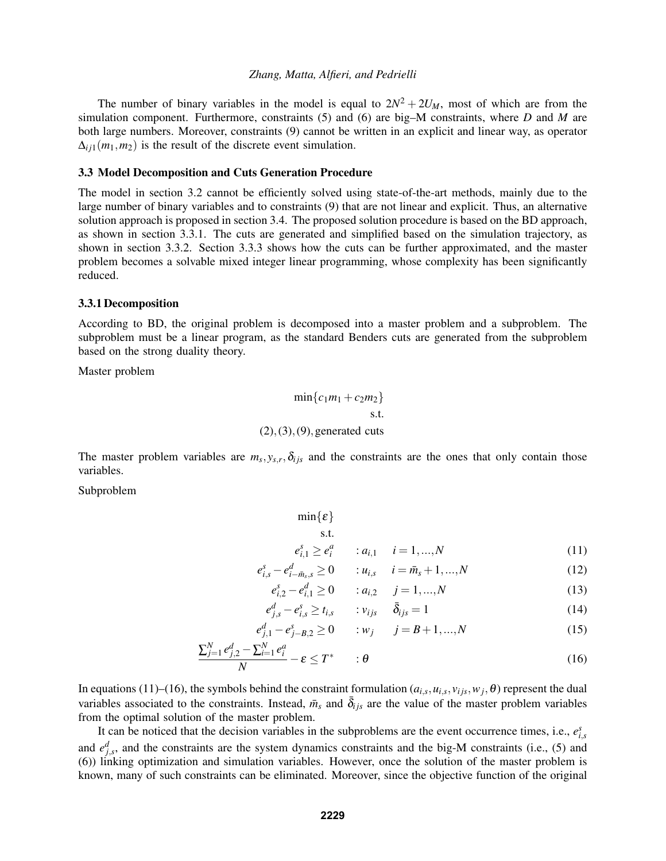The number of binary variables in the model is equal to  $2N^2 + 2U_M$ , most of which are from the simulation component. Furthermore, constraints (5) and (6) are big–M constraints, where *D* and *M* are both large numbers. Moreover, constraints (9) cannot be written in an explicit and linear way, as operator  $\Delta_{i i 1}(m_1, m_2)$  is the result of the discrete event simulation.

# 3.3 Model Decomposition and Cuts Generation Procedure

The model in section 3.2 cannot be efficiently solved using state-of-the-art methods, mainly due to the large number of binary variables and to constraints (9) that are not linear and explicit. Thus, an alternative solution approach is proposed in section 3.4. The proposed solution procedure is based on the BD approach, as shown in section 3.3.1. The cuts are generated and simplified based on the simulation trajectory, as shown in section 3.3.2. Section 3.3.3 shows how the cuts can be further approximated, and the master problem becomes a solvable mixed integer linear programming, whose complexity has been significantly reduced.

### 3.3.1 Decomposition

According to BD, the original problem is decomposed into a master problem and a subproblem. The subproblem must be a linear program, as the standard Benders cuts are generated from the subproblem based on the strong duality theory.

Master problem

$$
\min\{c_1m_1 + c_2m_2\}
$$
  
s.t.  
(2), (3), (9), generated cuts

The master problem variables are  $m_s, y_{s,r}, \delta_{ijs}$  and the constraints are the ones that only contain those variables.

Subproblem

 $min\{\varepsilon\}$ 

s.t.

$$
e_{i,1}^s \ge e_i^a \qquad : a_{i,1} \quad i = 1,...,N \tag{11}
$$

$$
e_{i,s}^s - e_{i - \bar{m}_s,s}^d \ge 0 \qquad : u_{i,s} \quad i = \bar{m}_s + 1, ..., N \tag{12}
$$

$$
e_{i,2}^s - e_{i,1}^d \ge 0 \qquad : a_{i,2} \qquad j = 1,...,N \tag{13}
$$

$$
e_{j,s}^d - e_{i,s}^s \ge t_{i,s} \qquad : v_{ijs} \quad \bar{\delta}_{ijs} = 1 \tag{14}
$$

$$
e_{j,1}^d - e_{j-B,2}^s \ge 0 \qquad : w_j \qquad j = B+1, ..., N \tag{15}
$$

$$
\frac{\sum_{j=1}^{N} e_{j,2}^d - \sum_{i=1}^{N} e_i^a}{N} - \varepsilon \le T^* \qquad : \theta \tag{16}
$$

In equations (11)–(16), the symbols behind the constraint formulation  $(a_{i,s}, u_{i,s}, v_{i,s}, \theta)$  represent the dual variables associated to the constraints. Instead,  $\bar{m}_s$  and  $\bar{\delta}_{ijs}$  are the value of the master problem variables from the optimal solution of the master problem.

It can be noticed that the decision variables in the subproblems are the event occurrence times, i.e.,  $e_{i,s}^s$ and  $e^{d}_{j,s}$ , and the constraints are the system dynamics constraints and the big-M constraints (i.e., (5) and (6)) linking optimization and simulation variables. However, once the solution of the master problem is known, many of such constraints can be eliminated. Moreover, since the objective function of the original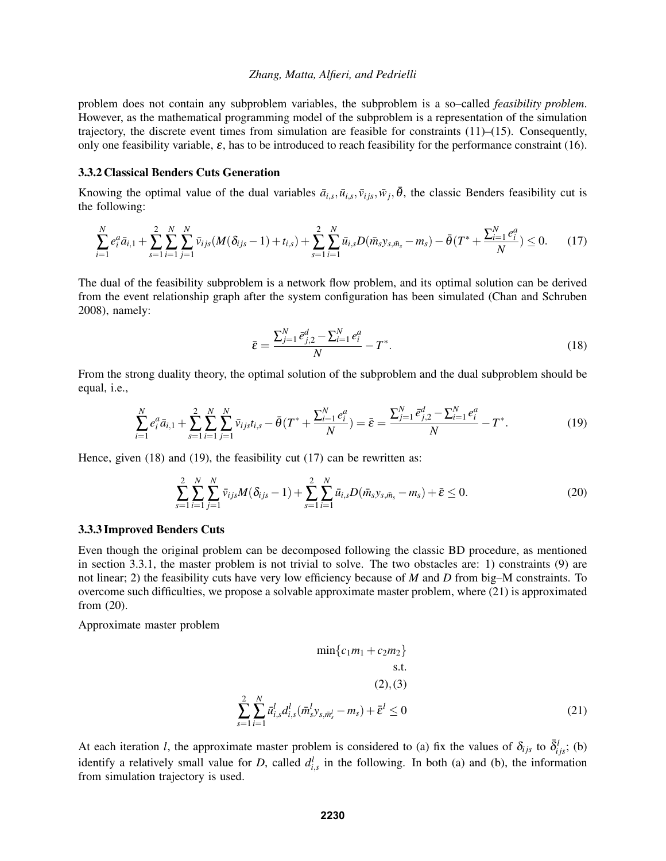problem does not contain any subproblem variables, the subproblem is a so–called *feasibility problem*. However, as the mathematical programming model of the subproblem is a representation of the simulation trajectory, the discrete event times from simulation are feasible for constraints (11)–(15). Consequently, only one feasibility variable,  $\varepsilon$ , has to be introduced to reach feasibility for the performance constraint (16).

## 3.3.2 Classical Benders Cuts Generation

Knowing the optimal value of the dual variables  $\bar{a}_{i,s}$ ,  $\bar{u}_{i,s}$ ,  $\bar{v}_{i,s}$ ,  $\bar{v}_j$ ,  $\bar{\theta}$ , the classic Benders feasibility cut is the following:

$$
\sum_{i=1}^{N} e_i^a \bar{a}_{i,1} + \sum_{s=1}^{2} \sum_{i=1}^{N} \sum_{j=1}^{N} \bar{v}_{ijs} (M(\delta_{ijs}-1) + t_{i,s}) + \sum_{s=1}^{2} \sum_{i=1}^{N} \bar{u}_{i,s} D(\bar{m}_s y_{s,\bar{m}_s} - m_s) - \bar{\theta} (T^* + \frac{\sum_{i=1}^{N} e_i^a}{N}) \leq 0. \tag{17}
$$

The dual of the feasibility subproblem is a network flow problem, and its optimal solution can be derived from the event relationship graph after the system configuration has been simulated (Chan and Schruben 2008), namely:

$$
\bar{\varepsilon} = \frac{\sum_{j=1}^{N} \bar{e}_{j,2}^{d} - \sum_{i=1}^{N} e_i^{a}}{N} - T^*.
$$
\n(18)

From the strong duality theory, the optimal solution of the subproblem and the dual subproblem should be equal, i.e.,

$$
\sum_{i=1}^{N} e_i^a \bar{a}_{i,1} + \sum_{s=1}^{2} \sum_{i=1}^{N} \sum_{j=1}^{N} \bar{v}_{ijs} t_{i,s} - \bar{\theta}(T^* + \frac{\sum_{i=1}^{N} e_i^a}{N}) = \bar{\varepsilon} = \frac{\sum_{j=1}^{N} \bar{e}_{j,2}^d - \sum_{i=1}^{N} e_i^a}{N} - T^*.
$$
\n(19)

Hence, given (18) and (19), the feasibility cut (17) can be rewritten as:

$$
\sum_{s=1}^{2} \sum_{i=1}^{N} \sum_{j=1}^{N} \bar{v}_{ijs} M(\delta_{ijs} - 1) + \sum_{s=1}^{2} \sum_{i=1}^{N} \bar{u}_{i,s} D(\bar{m}_s y_{s,\bar{m}_s} - m_s) + \bar{\varepsilon} \le 0.
$$
\n(20)

#### 3.3.3 Improved Benders Cuts

Even though the original problem can be decomposed following the classic BD procedure, as mentioned in section 3.3.1, the master problem is not trivial to solve. The two obstacles are: 1) constraints (9) are not linear; 2) the feasibility cuts have very low efficiency because of *M* and *D* from big–M constraints. To overcome such difficulties, we propose a solvable approximate master problem, where (21) is approximated from (20).

Approximate master problem

$$
\min\{c_1m_1 + c_2m_2\}
$$
  
s.t.  
(2), (3)  

$$
\sum_{s=1}^{2} \sum_{i=1}^{N} \bar{u}_{i,s}^l d_{i,s}^l (\bar{m}_s^l y_{s,\bar{m}_s^l} - m_s) + \bar{\varepsilon}^l \le 0
$$
 (21)

At each iteration *l*, the approximate master problem is considered to (a) fix the values of  $\delta_{ijs}$  to  $\bar{\delta}_{ijs}^l$ ; (b) identify a relatively small value for *D*, called  $d_{i,s}^l$  in the following. In both (a) and (b), the information from simulation trajectory is used.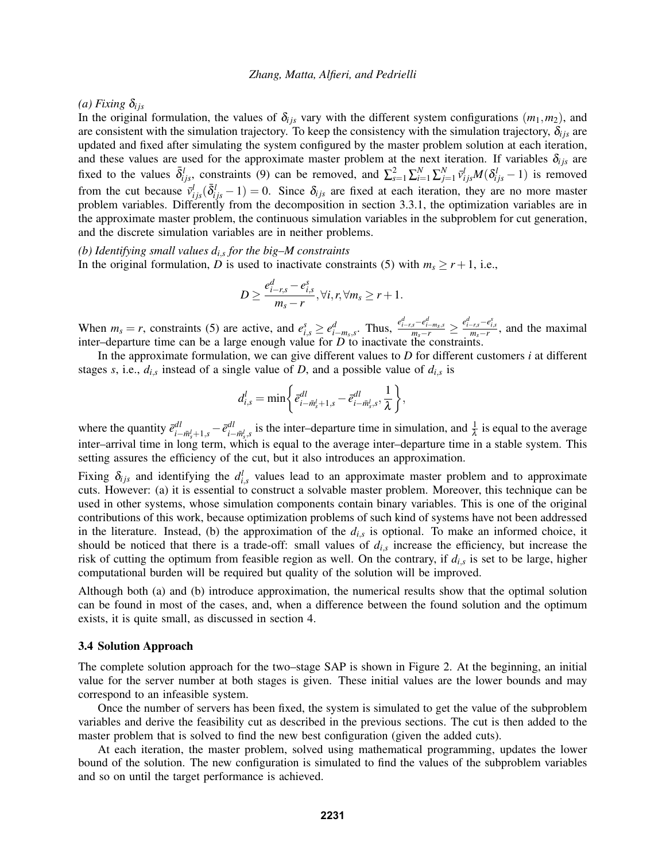*(a)* Fixing  $δ_{ijs}$ 

In the original formulation, the values of  $\delta_{i j s}$  vary with the different system configurations  $(m_1, m_2)$ , and are consistent with the simulation trajectory. To keep the consistency with the simulation trajectory,  $\delta_{ijs}$  are updated and fixed after simulating the system configured by the master problem solution at each iteration, and these values are used for the approximate master problem at the next iteration. If variables  $\delta_{ijs}$  are fixed to the values  $\bar{\delta}^l_{ijs}$ , constraints (9) can be removed, and  $\sum_{s=1}^2 \sum_{i=1}^N \sum_{j=1}^N \bar{v}^l_{ijs} M(\delta^l_{ijs} - 1)$  is removed from the cut because  $\bar{v}_{ijs}^l(\bar{\delta}_{ijs}^l-1)=0$ . Since  $\delta_{ijs}$  are fixed at each iteration, they are no more master problem variables. Differently from the decomposition in section 3.3.1, the optimization variables are in the approximate master problem, the continuous simulation variables in the subproblem for cut generation, and the discrete simulation variables are in neither problems.

*(b) Identifying small values di*,*<sup>s</sup> for the big–M constraints* In the original formulation, *D* is used to inactivate constraints (5) with  $m_s \ge r + 1$ , i.e.,

$$
D \ge \frac{e_{i-r,s}^d - e_{i,s}^s}{m_s - r}, \forall i, r, \forall m_s \ge r + 1.
$$

When  $m_s = r$ , constraints (5) are active, and  $e_{i,s}^s \geq e_{i-m_s,s}^d$ . Thus,  $\frac{e_{i-s}^d - e_{i-m_s,s}^d}{m_s - r} \geq \frac{e_{i-s}^d - e_{i,s}^s}{m_s - r}$ , and the maximal inter–departure time can be a large enough value for *D* to inactivate the constraints.

In the approximate formulation, we can give different values to *D* for different customers *i* at different stages *s*, i.e.,  $d_{i,s}$  instead of a single value of *D*, and a possible value of  $d_{i,s}$  is

$$
d_{i,s}^l = \min\biggl\{\vec e_{i-\vec m_s^l+1,s}^{dl} - \vec e_{i-\vec m_s^l,s}^{dl}, \frac{1}{\lambda}\biggr\},
$$

where the quantity  $\bar{e}^{dl}_{i}$  $\frac{dl}{i - m_s^l + 1,s} - e^{dl}$  $\frac{dl}{i-\bar{m}_s^l,s}$  is the inter–departure time in simulation, and  $\frac{1}{\lambda}$  is equal to the average inter–arrival time in long term, which is equal to the average inter–departure time in a stable system. This setting assures the efficiency of the cut, but it also introduces an approximation.

Fixing  $\delta_{ijs}$  and identifying the  $d_{i,s}^l$  values lead to an approximate master problem and to approximate cuts. However: (a) it is essential to construct a solvable master problem. Moreover, this technique can be used in other systems, whose simulation components contain binary variables. This is one of the original contributions of this work, because optimization problems of such kind of systems have not been addressed in the literature. Instead, (b) the approximation of the  $d_{i,s}$  is optional. To make an informed choice, it should be noticed that there is a trade-off: small values of *di*,*<sup>s</sup>* increase the efficiency, but increase the risk of cutting the optimum from feasible region as well. On the contrary, if *di*,*<sup>s</sup>* is set to be large, higher computational burden will be required but quality of the solution will be improved.

Although both (a) and (b) introduce approximation, the numerical results show that the optimal solution can be found in most of the cases, and, when a difference between the found solution and the optimum exists, it is quite small, as discussed in section 4.

#### 3.4 Solution Approach

The complete solution approach for the two–stage SAP is shown in Figure 2. At the beginning, an initial value for the server number at both stages is given. These initial values are the lower bounds and may correspond to an infeasible system.

Once the number of servers has been fixed, the system is simulated to get the value of the subproblem variables and derive the feasibility cut as described in the previous sections. The cut is then added to the master problem that is solved to find the new best configuration (given the added cuts).

At each iteration, the master problem, solved using mathematical programming, updates the lower bound of the solution. The new configuration is simulated to find the values of the subproblem variables and so on until the target performance is achieved.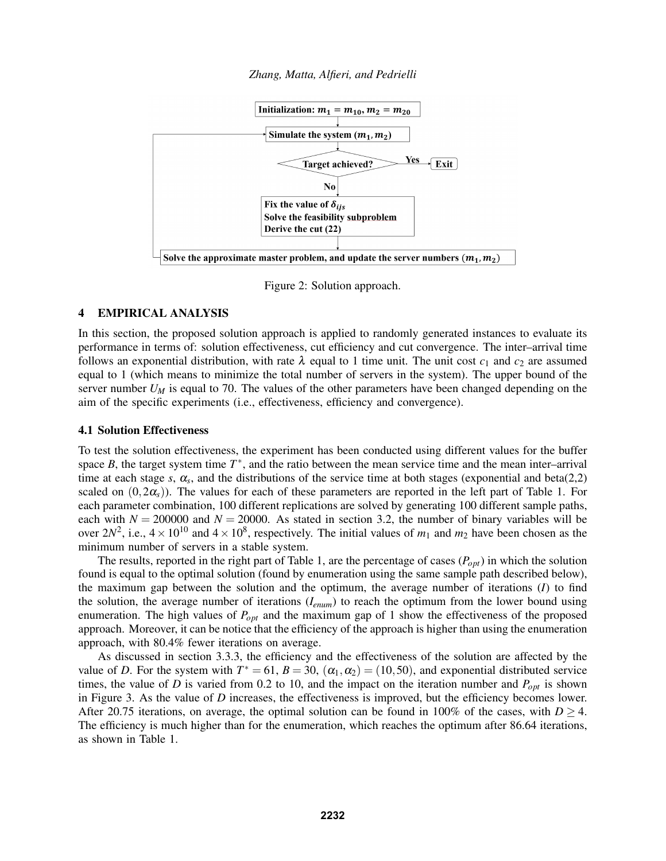

*Zhang, Matta, Alfieri, and Pedrielli*

Figure 2: Solution approach.

# 4 EMPIRICAL ANALYSIS

In this section, the proposed solution approach is applied to randomly generated instances to evaluate its performance in terms of: solution effectiveness, cut efficiency and cut convergence. The inter–arrival time follows an exponential distribution, with rate  $\lambda$  equal to 1 time unit. The unit cost  $c_1$  and  $c_2$  are assumed equal to 1 (which means to minimize the total number of servers in the system). The upper bound of the server number  $U_M$  is equal to 70. The values of the other parameters have been changed depending on the aim of the specific experiments (i.e., effectiveness, efficiency and convergence).

# 4.1 Solution Effectiveness

To test the solution effectiveness, the experiment has been conducted using different values for the buffer space  $B$ , the target system time  $T^*$ , and the ratio between the mean service time and the mean inter–arrival time at each stage *s*,  $\alpha_s$ , and the distributions of the service time at both stages (exponential and beta(2,2) scaled on  $(0,2\alpha_s)$ ). The values for each of these parameters are reported in the left part of Table 1. For each parameter combination, 100 different replications are solved by generating 100 different sample paths, each with  $N = 200000$  and  $N = 20000$ . As stated in section 3.2, the number of binary variables will be over  $2N^2$ , i.e.,  $4 \times 10^{10}$  and  $4 \times 10^8$ , respectively. The initial values of  $m_1$  and  $m_2$  have been chosen as the minimum number of servers in a stable system.

The results, reported in the right part of Table 1, are the percentage of cases (*Popt*) in which the solution found is equal to the optimal solution (found by enumeration using the same sample path described below), the maximum gap between the solution and the optimum, the average number of iterations (*I*) to find the solution, the average number of iterations (*Ienum*) to reach the optimum from the lower bound using enumeration. The high values of *Popt* and the maximum gap of 1 show the effectiveness of the proposed approach. Moreover, it can be notice that the efficiency of the approach is higher than using the enumeration approach, with 80.4% fewer iterations on average.

As discussed in section 3.3.3, the efficiency and the effectiveness of the solution are affected by the value of *D*. For the system with  $T^* = 61$ ,  $B = 30$ ,  $(\alpha_1, \alpha_2) = (10, 50)$ , and exponential distributed service times, the value of *D* is varied from 0.2 to 10, and the impact on the iteration number and  $P_{opt}$  is shown in Figure 3. As the value of *D* increases, the effectiveness is improved, but the efficiency becomes lower. After 20.75 iterations, on average, the optimal solution can be found in 100% of the cases, with  $D \ge 4$ . The efficiency is much higher than for the enumeration, which reaches the optimum after 86.64 iterations, as shown in Table 1.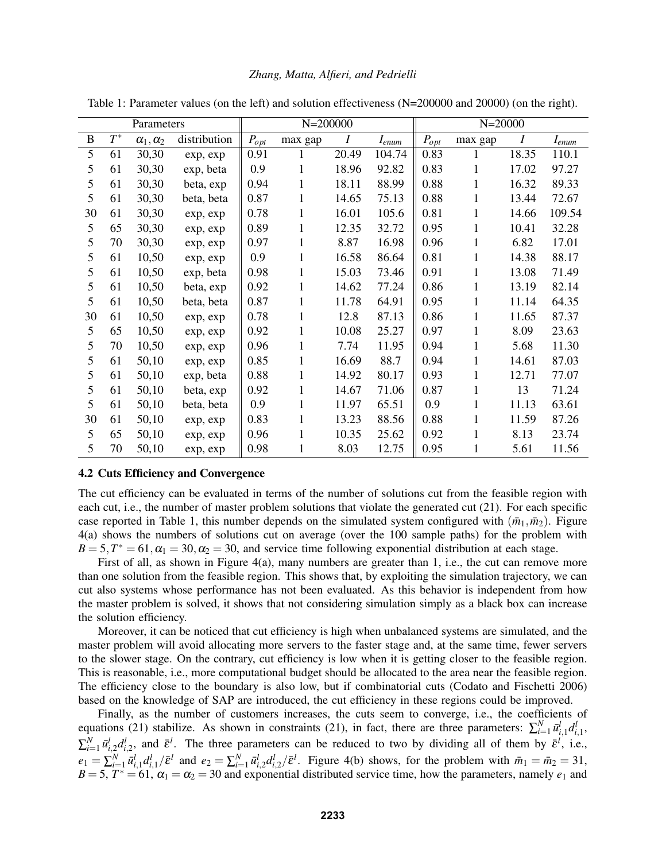| Parameters     |                 |                      |              | $N = 200000$ |              |                  |            | $N = 20000$ |              |       |            |
|----------------|-----------------|----------------------|--------------|--------------|--------------|------------------|------------|-------------|--------------|-------|------------|
| $\, {\bf B}$   | $\mathcal{T}^*$ | $\alpha_1, \alpha_2$ | distribution | $P_{opt}$    | max gap      | $\boldsymbol{I}$ | $I_{enum}$ | $P_{opt}$   | max gap      | Ι     | $I_{enum}$ |
| $\overline{5}$ | 61              | 30,30                | exp, exp     | 0.91         |              | 20.49            | 104.74     | 0.83        |              | 18.35 | 110.1      |
| 5              | 61              | 30,30                | exp, beta    | 0.9          | 1            | 18.96            | 92.82      | 0.83        | $\mathbf{1}$ | 17.02 | 97.27      |
| 5              | 61              | 30,30                | beta, exp    | 0.94         | $\mathbf{1}$ | 18.11            | 88.99      | 0.88        | $\mathbf{1}$ | 16.32 | 89.33      |
| 5              | 61              | 30,30                | beta, beta   | 0.87         | 1            | 14.65            | 75.13      | 0.88        | $\mathbf{1}$ | 13.44 | 72.67      |
| 30             | 61              | 30,30                | exp, exp     | 0.78         | $\mathbf 1$  | 16.01            | 105.6      | 0.81        | $\mathbf{1}$ | 14.66 | 109.54     |
| 5              | 65              | 30,30                | exp, exp     | 0.89         | 1            | 12.35            | 32.72      | 0.95        | $\mathbf{1}$ | 10.41 | 32.28      |
| 5              | 70              | 30,30                | exp, exp     | 0.97         | 1            | 8.87             | 16.98      | 0.96        | $\mathbf{1}$ | 6.82  | 17.01      |
| 5              | 61              | 10,50                | exp, exp     | 0.9          | 1            | 16.58            | 86.64      | 0.81        | $\mathbf{1}$ | 14.38 | 88.17      |
| 5              | 61              | 10,50                | exp, beta    | 0.98         | 1            | 15.03            | 73.46      | 0.91        | $\mathbf{1}$ | 13.08 | 71.49      |
| 5              | 61              | 10,50                | beta, exp    | 0.92         | 1            | 14.62            | 77.24      | 0.86        | $\mathbf{1}$ | 13.19 | 82.14      |
| 5              | 61              | 10,50                | beta, beta   | 0.87         | 1            | 11.78            | 64.91      | 0.95        | $\mathbf{1}$ | 11.14 | 64.35      |
| 30             | 61              | 10,50                | exp, exp     | 0.78         | 1            | 12.8             | 87.13      | 0.86        | $\mathbf{1}$ | 11.65 | 87.37      |
| 5              | 65              | 10,50                | exp, exp     | 0.92         | 1            | 10.08            | 25.27      | 0.97        | 1            | 8.09  | 23.63      |
| 5              | 70              | 10,50                | exp, exp     | 0.96         | 1            | 7.74             | 11.95      | 0.94        | 1            | 5.68  | 11.30      |
| 5              | 61              | 50,10                | exp, exp     | 0.85         | 1            | 16.69            | 88.7       | 0.94        | $\mathbf{1}$ | 14.61 | 87.03      |
| 5              | 61              | 50,10                | exp, beta    | 0.88         | 1            | 14.92            | 80.17      | 0.93        | 1            | 12.71 | 77.07      |
| 5              | 61              | 50,10                | beta, exp    | 0.92         | 1            | 14.67            | 71.06      | 0.87        | $\mathbf{1}$ | 13    | 71.24      |
| 5              | 61              | 50,10                | beta, beta   | 0.9          | 1            | 11.97            | 65.51      | 0.9         | $\mathbf{1}$ | 11.13 | 63.61      |
| 30             | 61              | 50,10                | exp, exp     | 0.83         | 1            | 13.23            | 88.56      | 0.88        | 1            | 11.59 | 87.26      |
| 5              | 65              | 50,10                | exp, exp     | 0.96         | 1            | 10.35            | 25.62      | 0.92        | $\mathbf{1}$ | 8.13  | 23.74      |
| 5              | 70              | 50,10                | exp, exp     | 0.98         |              | 8.03             | 12.75      | 0.95        | $\mathbf{1}$ | 5.61  | 11.56      |

Table 1: Parameter values (on the left) and solution effectiveness (N=200000 and 20000) (on the right).

### 4.2 Cuts Efficiency and Convergence

The cut efficiency can be evaluated in terms of the number of solutions cut from the feasible region with each cut, i.e., the number of master problem solutions that violate the generated cut (21). For each specific case reported in Table 1, this number depends on the simulated system configured with  $(\bar{m}_1, \bar{m}_2)$ . Figure 4(a) shows the numbers of solutions cut on average (over the 100 sample paths) for the problem with  $B = 5, T^* = 61, \alpha_1 = 30, \alpha_2 = 30$ , and service time following exponential distribution at each stage.

First of all, as shown in Figure  $4(a)$ , many numbers are greater than 1, i.e., the cut can remove more than one solution from the feasible region. This shows that, by exploiting the simulation trajectory, we can cut also systems whose performance has not been evaluated. As this behavior is independent from how the master problem is solved, it shows that not considering simulation simply as a black box can increase the solution efficiency.

Moreover, it can be noticed that cut efficiency is high when unbalanced systems are simulated, and the master problem will avoid allocating more servers to the faster stage and, at the same time, fewer servers to the slower stage. On the contrary, cut efficiency is low when it is getting closer to the feasible region. This is reasonable, i.e., more computational budget should be allocated to the area near the feasible region. The efficiency close to the boundary is also low, but if combinatorial cuts (Codato and Fischetti 2006) based on the knowledge of SAP are introduced, the cut efficiency in these regions could be improved.

Finally, as the number of customers increases, the cuts seem to converge, i.e., the coefficients of equations (21) stabilize. As shown in constraints (21), in fact, there are three parameters:  $\sum_{i=1}^{N} \bar{u}_{i,1}^l d_{i,1}^l$ ,  $\sum_{i=1}^{N} \bar{u}_{i,2}^{l} d_{i,2}^{l}$ , and  $\bar{\varepsilon}^{l}$ . The three parameters can be reduced to two by dividing all of them by  $\bar{\varepsilon}^{l}$ , i.e.,  $e_1 = \sum_{i=1}^N \bar{u}_{i,1}^l d_{i,1}^l / \bar{\varepsilon}^l$  and  $e_2 = \sum_{i=1}^N \bar{u}_{i,2}^l d_{i,2}^l / \bar{\varepsilon}^l$ . Figure 4(b) shows, for the problem with  $\bar{m}_1 = \bar{m}_2 = 31$ ,  $B = 5$ ,  $T^* = 61$ ,  $\alpha_1 = \alpha_2 = 30$  and exponential distributed service time, how the parameters, namely  $e_1$  and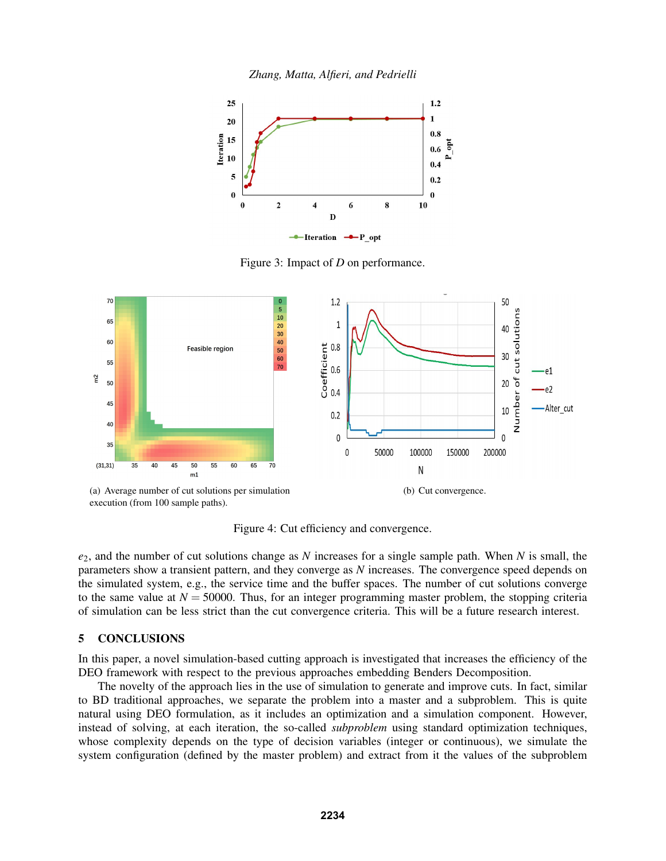*Zhang, Matta, Alfieri, and Pedrielli*



Figure 3: Impact of *D* on performance.



Figure 4: Cut efficiency and convergence.

*e*2, and the number of cut solutions change as *N* increases for a single sample path. When *N* is small, the parameters show a transient pattern, and they converge as *N* increases. The convergence speed depends on the simulated system, e.g., the service time and the buffer spaces. The number of cut solutions converge to the same value at  $N = 50000$ . Thus, for an integer programming master problem, the stopping criteria of simulation can be less strict than the cut convergence criteria. This will be a future research interest.

### 5 CONCLUSIONS

In this paper, a novel simulation-based cutting approach is investigated that increases the efficiency of the DEO framework with respect to the previous approaches embedding Benders Decomposition.

The novelty of the approach lies in the use of simulation to generate and improve cuts. In fact, similar to BD traditional approaches, we separate the problem into a master and a subproblem. This is quite natural using DEO formulation, as it includes an optimization and a simulation component. However, instead of solving, at each iteration, the so-called *subproblem* using standard optimization techniques, whose complexity depends on the type of decision variables (integer or continuous), we simulate the system configuration (defined by the master problem) and extract from it the values of the subproblem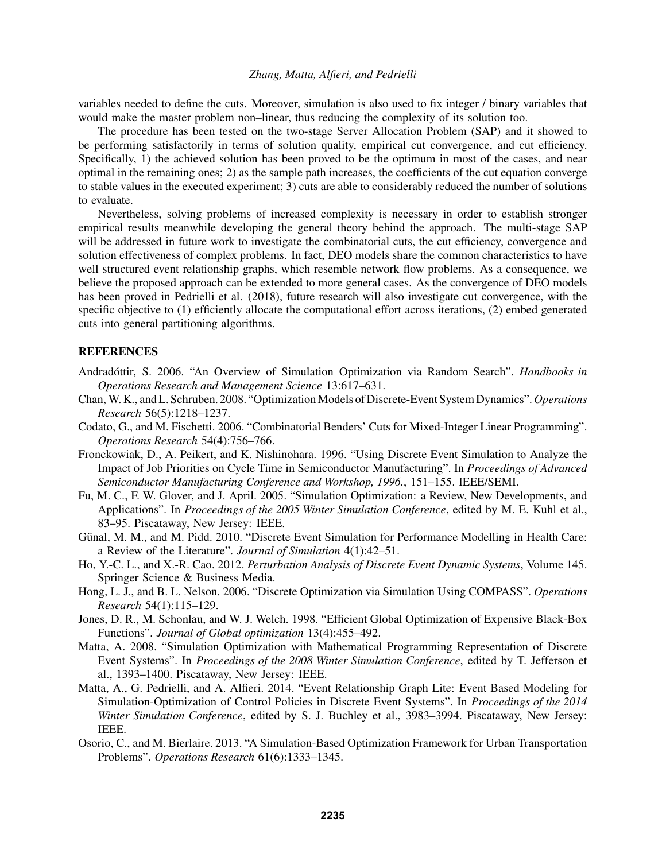variables needed to define the cuts. Moreover, simulation is also used to fix integer / binary variables that would make the master problem non–linear, thus reducing the complexity of its solution too.

The procedure has been tested on the two-stage Server Allocation Problem (SAP) and it showed to be performing satisfactorily in terms of solution quality, empirical cut convergence, and cut efficiency. Specifically, 1) the achieved solution has been proved to be the optimum in most of the cases, and near optimal in the remaining ones; 2) as the sample path increases, the coefficients of the cut equation converge to stable values in the executed experiment; 3) cuts are able to considerably reduced the number of solutions to evaluate.

Nevertheless, solving problems of increased complexity is necessary in order to establish stronger empirical results meanwhile developing the general theory behind the approach. The multi-stage SAP will be addressed in future work to investigate the combinatorial cuts, the cut efficiency, convergence and solution effectiveness of complex problems. In fact, DEO models share the common characteristics to have well structured event relationship graphs, which resemble network flow problems. As a consequence, we believe the proposed approach can be extended to more general cases. As the convergence of DEO models has been proved in Pedrielli et al. (2018), future research will also investigate cut convergence, with the specific objective to (1) efficiently allocate the computational effort across iterations, (2) embed generated cuts into general partitioning algorithms.

### **REFERENCES**

- Andradóttir, S. 2006. "An Overview of Simulation Optimization via Random Search". *Handbooks in Operations Research and Management Science* 13:617–631.
- Chan, W. K., and L. Schruben. 2008. "Optimization Models of Discrete-Event System Dynamics". Operations *Research* 56(5):1218–1237.
- Codato, G., and M. Fischetti. 2006. "Combinatorial Benders' Cuts for Mixed-Integer Linear Programming". *Operations Research* 54(4):756–766.
- Fronckowiak, D., A. Peikert, and K. Nishinohara. 1996. "Using Discrete Event Simulation to Analyze the Impact of Job Priorities on Cycle Time in Semiconductor Manufacturing". In *Proceedings of Advanced Semiconductor Manufacturing Conference and Workshop, 1996.*, 151–155. IEEE/SEMI.
- Fu, M. C., F. W. Glover, and J. April. 2005. "Simulation Optimization: a Review, New Developments, and Applications". In *Proceedings of the 2005 Winter Simulation Conference*, edited by M. E. Kuhl et al., 83–95. Piscataway, New Jersey: IEEE.
- Günal, M. M., and M. Pidd. 2010. "Discrete Event Simulation for Performance Modelling in Health Care: a Review of the Literature". *Journal of Simulation* 4(1):42–51.
- Ho, Y.-C. L., and X.-R. Cao. 2012. *Perturbation Analysis of Discrete Event Dynamic Systems*, Volume 145. Springer Science & Business Media.
- Hong, L. J., and B. L. Nelson. 2006. "Discrete Optimization via Simulation Using COMPASS". *Operations Research* 54(1):115–129.
- Jones, D. R., M. Schonlau, and W. J. Welch. 1998. "Efficient Global Optimization of Expensive Black-Box Functions". *Journal of Global optimization* 13(4):455–492.
- Matta, A. 2008. "Simulation Optimization with Mathematical Programming Representation of Discrete Event Systems". In *Proceedings of the 2008 Winter Simulation Conference*, edited by T. Jefferson et al., 1393–1400. Piscataway, New Jersey: IEEE.
- Matta, A., G. Pedrielli, and A. Alfieri. 2014. "Event Relationship Graph Lite: Event Based Modeling for Simulation-Optimization of Control Policies in Discrete Event Systems". In *Proceedings of the 2014 Winter Simulation Conference*, edited by S. J. Buchley et al., 3983–3994. Piscataway, New Jersey: IEEE.
- Osorio, C., and M. Bierlaire. 2013. "A Simulation-Based Optimization Framework for Urban Transportation Problems". *Operations Research* 61(6):1333–1345.